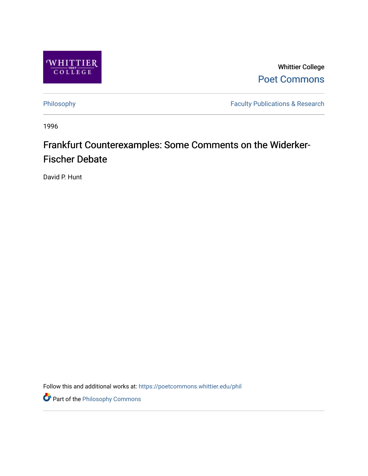

Whittier College [Poet Commons](https://poetcommons.whittier.edu/) 

[Philosophy](https://poetcommons.whittier.edu/phil) **Faculty Publications & Research** 

1996

# Frankfurt Counterexamples: Some Comments on the Widerker-Fischer Debate

David P. Hunt

Follow this and additional works at: [https://poetcommons.whittier.edu/phil](https://poetcommons.whittier.edu/phil?utm_source=poetcommons.whittier.edu%2Fphil%2F12&utm_medium=PDF&utm_campaign=PDFCoverPages)

**Part of the Philosophy Commons**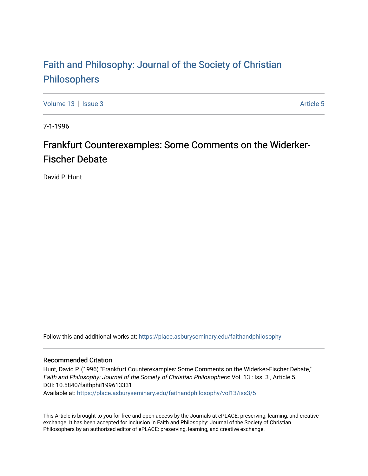## [Faith and Philosophy: Journal of the Society of Christian](https://place.asburyseminary.edu/faithandphilosophy)  [Philosophers](https://place.asburyseminary.edu/faithandphilosophy)

[Volume 13](https://place.asburyseminary.edu/faithandphilosophy/vol13) Setus 2 [Article 5](https://place.asburyseminary.edu/faithandphilosophy/vol13/iss3/5) Article 5 Article 5 Article 5 Article 5 Article 5 Article 5

7-1-1996

### Frankfurt Counterexamples: Some Comments on the Widerker-Fischer Debate

David P. Hunt

Follow this and additional works at: [https://place.asburyseminary.edu/faithandphilosophy](https://place.asburyseminary.edu/faithandphilosophy?utm_source=place.asburyseminary.edu%2Ffaithandphilosophy%2Fvol13%2Fiss3%2F5&utm_medium=PDF&utm_campaign=PDFCoverPages)

#### Recommended Citation

Hunt, David P. (1996) "Frankfurt Counterexamples: Some Comments on the Widerker-Fischer Debate," Faith and Philosophy: Journal of the Society of Christian Philosophers: Vol. 13 : Iss. 3 , Article 5. DOI: 10.5840/faithphil199613331

Available at: [https://place.asburyseminary.edu/faithandphilosophy/vol13/iss3/5](https://place.asburyseminary.edu/faithandphilosophy/vol13/iss3/5?utm_source=place.asburyseminary.edu%2Ffaithandphilosophy%2Fvol13%2Fiss3%2F5&utm_medium=PDF&utm_campaign=PDFCoverPages)

This Article is brought to you for free and open access by the Journals at ePLACE: preserving, learning, and creative exchange. It has been accepted for inclusion in Faith and Philosophy: Journal of the Society of Christian Philosophers by an authorized editor of ePLACE: preserving, learning, and creative exchange.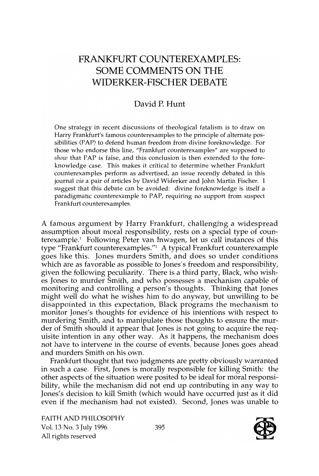### FRANKFURT COUNTEREXAMPLES: SOME COMMENTS ON **THE**  WIDERKER-FISCHER DEBATE

### David P. Hunt

One strategy in recent discussions of theological fatalism is to draw on Harry Frankfurt's famous counterexamples to the principle of alternate possibilities (PAP) to defend human freedom from divine foreknowledge. For those who endorse this line, "Frankfurt counterexamples" are supposed to *show* that PAP is false, and this conclusion is then extended to the foreknowledge case. This makes it critical to determine whether Frankfurt counterexamples perform as advertised, an issue recently debated in this journal *via* a pair of articles by David Widerker and John Martin Fischer. I suggest that this debate can be avoided: divine foreknowledge is itself a paradigmatic counterexample to PAP, requiring no support from suspect Frankfurt counterexamples.

A famous argument by Harry Frankfurt, challenging a widespread assumption about moral responsibility, rests on a special type of counterexample.} Following Peter van Inwagen, let us call instances of this type "Frankfurt counterexamples. *"l* A typical Frankfurt counterexample goes like this. Jones murders Smith, and does so under conditions which are as favorable as possible to Jones's freedom and responsibility, given the following peculiarity. There is a third party, Black, who wishes Jones to murder Smith, and who possesses a mechanism capable of monitoring and controlling a person's thoughts. Thinking that Jones might well do what he wishes him to do anyway, but unwilling to be disappointed in this expectation, Black programs the mechanism to monitor Jones's thoughts for evidence of his intentions with respect to murdering Smith, and to manipulate those thoughts to ensure the murder of Smith should it appear that Jones is not going to acquire the requisite intention in any other way. As it happens, the mechanism does not have to intervene in the course of events, because Jones goes ahead and murders Smith on his own.

Frankfurt thought that two judgments are pretty obviously warranted in such a case. First, Jones is morally responsible for killing Smith: the other aspects of the situation were posited to be ideal for moral responsibility, while the mechanism did not end up contributing in any way to Jones's decision to kill Smith (which would have occurred just as it did even if the mechanism had not existed). Second, Jones was unable to

FAITH AND PHILOSOPHY Vol. 13 No.3 July 1996 All rights reserved

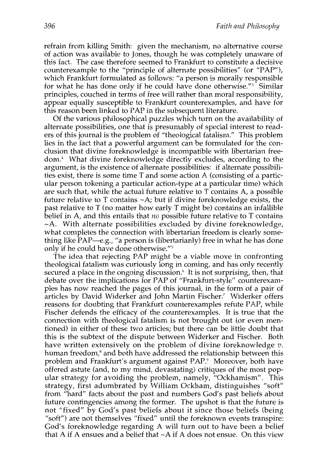refrain from killing Smith: given the mechanism, no alternative course of action was available to Jones, though he was completely unaware of this fact. The case therefore seemed to Frankfurt to constitute a decisive counterexample to the "principle of alternate possibilities" (or "PAP"), which Frankfurt formulated as follows: "a person is morally responsible for what he has done only if he could have done otherwise."3 Similar principles, couched in terms of free will rather than moral responsibility, appear equally susceptible to Frankfurt counterexamples, and have for this reason been linked to PAP in the subsequent literature.

Of the various philosophical puzzles which turn on the availability of alternate possibilities, one that is presumably of special interest to readers of this journal is the problem of "theological fatalism." This problem lies in the fact that a powerful argument can be formulated for the conclusion that divine foreknowledge is incompatible with libertarian freedom.<sup>4</sup> What divine foreknowledge directly excludes, according to the argument, is the existence of alternate possibilities: if alternate possibilities exist, there is some time T and some action A (consisting of a particular person tokening a particular action-type at a particular time) which are such that, while the actual future relative to T contains A, a possible future relative to T contains  $\neg A$ ; but if divine foreknowledge exists, the past relative to T (no matter how early T might be) contains an infallible belief in A, and this entails that  $no$  possible future relative to T contains  $\sim$ A. With alternate possibilities excluded by divine foreknowledge, what completes the connection with libertarian freedom is clearly something like  $PAP$ —e.g., "a person is (libertarianly) free in what he has done only if he could have done otherwise."s

The idea that rejecting PAP might be a viable move in confronting theological fatalism was curiously long in coming, and has only recently secured a place in the ongoing discussion.<sup>6</sup> It is not surprising, then, that debate over the implications for PAP of "Frankfurt-style" counterexamples has now reached the pages of this journal, in the form of a pair of articles by David Widerker and John Martin Fischer.7 Widerker offers reasons for doubting that Frankfurt counterexamples refute PAP, while Fischer defends the efficacy of the counterexamples. It is true that the connection with theological fatalism is not brought out (or even mentioned) in either of these two articles; but there can be little doubt that this is the subtext of the dispute between Widerker and Fischer. Both have written extensively on the problem of divine foreknowledge *v.*  human freedom,<sup>8</sup> and both have addressed the relationship between this problem and Frankfurt's argument against PAP." Moreover, both have offered astute (and, to my mind, devastating) critiques of the most popular strategy for avoiding the problem, namely, "Ockhamism". This strategy, first adumbrated by William Ockham, distinguishes "soft" from "hard" facts about the past and numbers God's past beliefs about future contingencies among the former. The upshot is that the future is not "fixed" by God's past beliefs about it since those beliefs (being "soft") are not themselves "fixed" until the foreknown events transpire: God's foreknowledge regarding A will turn out to have been a belief that A if A ensues and a belief that  $\neg A$  if A does not ensue. On this view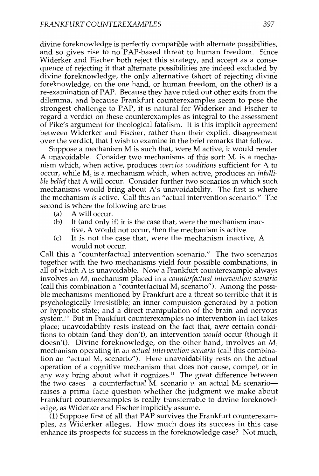divine foreknowledge is perfectly compatible with alternate possibilities, and so gives rise to no PAP-based threat to human freedom. Since Widerker and Fischer both reject this strategy, and accept as a consequence of rejecting it that alternate possibilities are indeed excluded by divine foreknowledge, the only alternative (short of rejecting divine foreknowledge, on the one hand, or human freedom, on the other) is a re-examination of PAP. Because they have ruled out other exits from the dilemma, and because Frankfurt counterexamples seem to pose the strongest challenge to PAP, it is natural for Widerker and Fischer to regard a verdict on these counterexamples as integral to the assessment of Pike's argument for theological fatalism. It is this implicit agreement between Widerker and Fischer, rather than their explicit disagreement over the verdict, that I wish to examine in the brief remarks that follow.

Suppose a mechanism M is such that, were M active, it would render A unavoidable. Consider two mechanisms of this sort:  $M<sub>1</sub>$  is a mechanism which, when active, produces *coercive conditions* sufficient for A to occur, while M2 is a mechanism which, when active, produces an *infallible belief* that A will occur. Consider further two scenarios in which such mechanisms would bring about A's unavoidability. The first is where the mechanism is active. Call this an "actual intervention scenario." The second is where the following are true:

- (a) A will occur.
- (b) If (and only if) it is the case that, were the mechanism inactive, A would not occur, then the mechanism is active.
- (c) It is not the case that, were the mechanism inactive, A would not occur.

Call this a "counterfactual intervention scenario." The two scenarios together with the two mechanisms yield four possible combinations, in all of which A is unavoidable. Now a Frankfurt counterexample always involves an Ml mechanism placed in a *counterfactual intervention scenario*  (call this combination a "counterfactual  $M_1$  scenario"). Among the possible mechanisms mentioned by Frankfurt are a threat so terrible that it is psychologically irresistible; an inner compulsion generated by a potion or hypnotic state; and a direct manipulation of the brain and nervous system.<sup>10</sup> But in Frankfurt counterexamples no intervention in fact takes place; unavoidability rests instead on the fact that, *were* certain conditions to obtain (and they don't), an intervention *would* occur (though it doesn't). Divine foreknowledge, on the other hand, involves an  $M<sub>2</sub>$ mechanism operating in an *actual intervention scenario* (call this combination an "actual  $M_2$  scenario"). Here unavoidability rests on the actual operation of a cognitive mechanism that does not cause, compel, or in any way bring about what it cognizes." The great difference between the two cases—a counterfactual  $\overline{M}_1$  scenario  $v$ . an actual  $M_2$  scenario raises a prima facie question whether the judgment we make about Frankfurt counterexamples is really transferrable to divine foreknowledge, as Widerker and Fischer implicitly assume.

(1) Suppose first of all that PAP survives the Frankfurt counterexamples, as Widerker alleges. How much does its success in this case enhance its prospects for success in the foreknowledge case? Not much,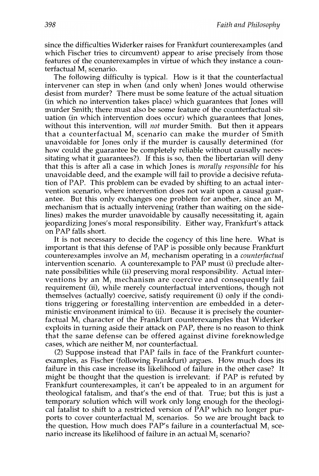since the difficulties Widerker raises for Frankfurt counterexamples (and which Fischer tries to circumvent) appear to arise precisely from those features of the counterexamples in virtue of which they instance a counterfactual M<sub>1</sub> scenario.

The following difficulty is typical. How is it that the counterfactual intervener can step in when (and only when) Jones would otherwise desist from murder? There must be some feature of the actual situation (in which no intervention takes place) which guarantees that Jones will murder Smith; there must also be some feature of the counterfactual situation (in which intervention does occur) which guarantees that Jones, without this intervention, will *not* murder Smith. But then it appears that a counterfactual  $M<sub>1</sub>$  scenario can make the murder of Smith unavoidable for Jones only if the murder is causally determined (for how could the guarantee be completely reliable without causally necessitating what it guarantees?). If this is so, then the libertarian will deny that this is after all a case in which Jones is *morally responsible* for his unavoidable deed, and the example will fail to provide a decisive refutation of PAP. This problem can be evaded by shifting to an actual intervention scenario, where intervention does not wait upon a causal guarantee. But this only exchanges one problem for another, since an  $M<sub>1</sub>$ mechanism that is actually intervening (rather than waiting on the sidelines) makes the murder unavoidable by causally necessitating it, again jeopardizing Jones's moral responsibility. Either way, Frankfurt's attack on PAP falls short.

It is not necessary to decide the cogency of this line here. What is important is that this defense of PAP is possible only because Frankfurt counterexamples involve an M, mechanism operating in a *counterfactual*  intervention scenario. A counterexample to PAP must (i) preclude alternate possibilities while (ii) preserving moral responsibility. Actual interventions by an  $M<sub>1</sub>$  mechanism are coercive and consequently fail requirement (ii), while merely counterfactual interventions, though not themselves (actually) coercive, satisfy requirement (i) only if the conditions triggering or forestalling intervention are embedded in a deterministic environment inimical to (ii). Because it is precisely the counterfactual  $M<sub>1</sub>$  character of the Frankfurt counterexamples that Widerker exploits in turning aside their attack on PAP, there is no reason to think that the same defense can be offered against divine foreknowledge cases, which are neither  $M<sub>i</sub>$  nor counterfactual.

(2) Suppose instead that PAP fails in face of the Frankfurt counterexamples, as Fischer (following Frankfurt) argues. How much does its failure in this case increase its likelihood of failure in the other case? It might be thought that the question is irrelevant: if PAP is refuted by Frankfurt counterexamples, it can't be appealed to in an argument for theological fatalism, and that's the end of that. True; but this is just a temporary solution which will work only long enough for the theological fatalist to shift to a restricted version of PAP which no longer purports to cover counterfactual  $M<sub>1</sub>$  scenarios. So we are brought back to the question, How much does PAP's failure in a counterfactual  $M<sub>1</sub>$  scenario increase its likelihood of failure in an actual  $M<sub>2</sub>$  scenario?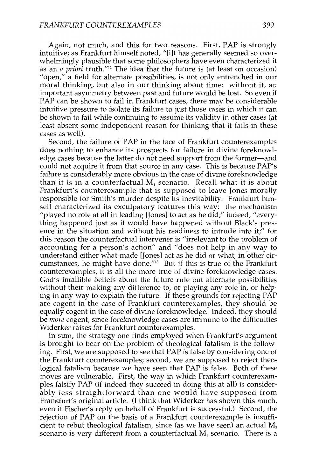Again, not much, and this for two reasons. First, PAP is strongly intuitive; as Frankfurt himself noted, "[ilt has generally seemed so overwhelmingly plausible that some philosophers have even characterized it as an *a priori* truth."'2 The idea that the future is (at least on occasion) "open," a field for alternate possibilities, is not only entrenched in our moral thinking, but also in our thinking about time: without it, an important asymmetry between past and future would be lost. So even if PAP can be shown to fail in Frankfurt cases, there may be considerable intuitive pressure to isolate its failure to just those cases in which it can be shown to fail while continuing to assume its validity in other cases (at least absent some independent reason for thinking that it fails in these cases as well).

Second, the failure of PAP in the face of Frankfurt counterexamples does nothing to enhance its prospects for failure in divine foreknowledge cases because the latter do not need support from the former-and could not acquire it from that source in any case. This is because PAP's failure is considerably more obvious in the case of divine foreknowledge than it is in a counterfactual M, scenario. Recall what it is about Frankfurt's counterexample that is supposed to leave Jones morally responsible for Smith's murder despite its inevitability. Frankfurt himself characterized its exculpatory features this way: the mechanism "played no role at all in leading [Jones] to act as he did;" indeed, "everything happened just as it would have happened without Black's presence in the situation and without his readiness to intrude into it;" for this reason the counterfactual intervener is "irrelevant to the problem of accounting for a person's action" and "does not help in any way to understand either what made [Jones) act as he did or what, in other circumstances, he might have done." $13$  But if this is true of the Frankfurt counterexamples, it is all the more true of divine foreknowledge cases. God's infallible beliefs about the future rule out alternate possibilities without their making any difference to, or playing any role in, or helping in any way to explain the future. If these grounds for rejecting PAP are cogent in the case of Frankfurt counterexamples, they should be equally cogent in the case of divine foreknowledge. Indeed, they should be *more* cogent, since foreknowledge cases are immune to the difficulties Widerker raises for Frankfurt counterexamples.

In sum, the strategy one finds employed when Frankfurt's argument is brought to bear on the problem of theological fatalism is the following. First, we are supposed to see that PAP is false by considering one of the Frankfurt counterexamples; second, we are supposed to reject theological fatalism because we have seen that PAP is false. Both of these moves are vulnerable. First, the way in which Frankfurt counterexamples falsify PAP (if indeed they succeed in doing this at all) is considerably less straightforward than one would have supposed from Frankfurt's original article. (I think that Widerker has shown this much, even if Fischer's reply on behalf of Frankfurt is successful.) Second, the rejection of PAP on the basis of a Frankfurt counterexample is insufficient to rebut theological fatalism, since (as we have seen) an actual  $M<sub>2</sub>$ scenario is very different from a counterfactual M, scenario. There is a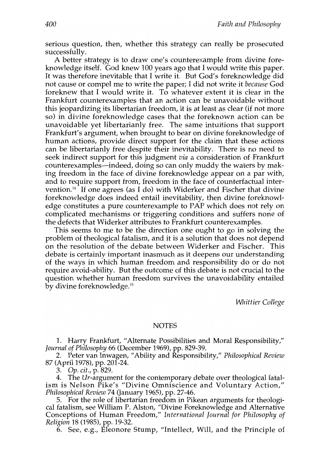serious question, then, whether this strategy can really be prosecuted successfully.

A better strategy is to draw one's counterexample from divine foreknowledge itself. God knew 100 years ago that I would write this paper. It was therefore inevitable that I write it. But God's foreknowledge did not cause or compel me to write the paper; I did not write it *because* God foreknew that I would write it. To whatever extent it is clear in the Frankfurt counterexamples that an action can be unavoidable without this jeopardizing its libertarian freedom, it is at least as clear (if not more so) in divine foreknowledge cases that the foreknown action can be unavoidable yet libertarianly free. The same intuitions that support Frankfurt's argument, when brought to bear on divine foreknowledge of human actions, provide direct support for the claim that these actions can be libertarianly free despite their inevitability. There is no need to seek indirect support for this judgment *via* a consideration of Frankfurt counterexamples—indeed, doing so can only muddy the waters by making freedom in the face of divine foreknowledge appear on a par with, and to require support from, freedom in the face of counterfactual intervention.<sup>14</sup> If one agrees (as I do) with Widerker and Fischer that divine foreknowledge does indeed entail inevitability, then divine foreknowledge constitutes a pure counterexample to PAP which does not rely on complicated mechanisms or triggering conditions and suffers none of the defects that Widerker attributes to Frankfurt counterexamples.

This seems to me to be the direction one ought to go in solving the problem of theological fatalism, and it is a solution that does not depend on the resolution of the debate between Widerker and Fischer. This debate is certainly important inasmuch as it deepens our understanding of the ways in which human freedom and responsibility do or do not require avoid-ability. But the outcome of this debate is not crucial to the question whether human freedom survives the unavoidability entailed by divine foreknowledge. <sup>15</sup>

*Whittier College* 

#### NOTES

1. Harry Frankfurt, "Alternate Possibilities and Moral Responsibility," *Journal of Philosophy* 66 (December 1969), pp. 829-39.

2. Peter van Inwagen, "Ability and Responsibility," Philosophical Review 87 (April 1978), pp. 201-24.

*3. Op. cit.,* p. 829.

The Ur-argument for the contemporary debate over theological fatalism is Nelson Pike's "Divine Omniscience and Voluntary Action," *Philosophical Review* 74 (January 1965), pp. 27-46.

5. For the role of libertarian freedom in Pikean arguments for theological fatalism, see William P. Alston, "Divine Foreknowledge and Alternative Conceptions of Human Freedom," *International Journal for Philosophy of Religion* 18 (1985), pp. 19-32.

6. See, e.g., Eleonore Stump, "Intellect, Will, and the Principle of